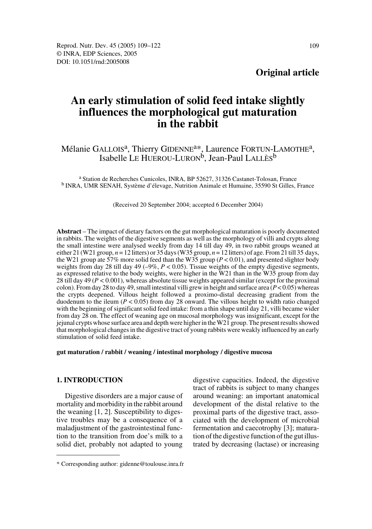# **Original article**

# **An early stimulation of solid feed intake slightly influences the morphological gut maturation in the rabbit**

## Mélanie GALLOIS<sup>a</sup>, Thierry GIDENNE<sup>a\*</sup>, Laurence FORTUN-LAMOTHE<sup>a</sup>, Isabelle LE HUEROU-LURON<sup>b</sup>, Jean-Paul LALLÈS<sup>b</sup>

a Station de Recherches Cunicoles, INRA, BP 52627, 31326 Castanet-Tolosan, France b INRA, UMR SENAH, Système d'élevage, Nutrition Animale et Humaine, 35590 St Gilles, France

(Received 20 September 2004; accepted 6 December 2004)

**Abstract** – The impact of dietary factors on the gut morphological maturation is poorly documented in rabbits. The weights of the digestive segments as well as the morphology of villi and crypts along the small intestine were analysed weekly from day 14 till day 49, in two rabbit groups weaned at either 21 (W21 group, *n* = 12 litters) or 35 days (W35 group, *n* = 12 litters) of age. From 21 till 35 days, the W21 group ate 57% more solid feed than the W35 group ( $P < 0.01$ ), and presented slighter body weights from day 28 till day 49 (–9%,  $P < 0.05$ ). Tissue weights of the empty digestive segments, as expressed relative to the body weights, were higher in the W21 than in the W35 group from day 28 till day 49 (*P <* 0.001), whereas absolute tissue weights appeared similar (except for the proximal colon). From day 28 to day 49, small intestinal villi grew in height and surface area (*P* < 0.05) whereas the crypts deepened. Villous height followed a proximo-distal decreasing gradient from the duodenum to the ileum  $(P < 0.05)$  from day 28 onward. The villous height to width ratio changed with the beginning of significant solid feed intake: from a thin shape until day 21, villi became wider from day 28 on. The effect of weaning age on mucosal morphology was insignificant, except for the jejunal crypts whose surface area and depth were higher in the W21 group. The present results showed that morphological changes in the digestive tract of young rabbits were weakly influenced by an early stimulation of solid feed intake.

## **gut maturation / rabbit / weaning / intestinal morphology / digestive mucosa**

## **1. INTRODUCTION**

Digestive disorders are a major cause of mortality and morbidity in the rabbit around the weaning [1, 2]. Susceptibility to digestive troubles may be a consequence of a maladjustment of the gastrointestinal function to the transition from doe's milk to a solid diet, probably not adapted to young digestive capacities. Indeed, the digestive tract of rabbits is subject to many changes around weaning: an important anatomical development of the distal relative to the proximal parts of the digestive tract, associated with the development of microbial fermentation and caecotrophy [3]; maturation of the digestive function of the gut illustrated by decreasing (lactase) or increasing

<sup>\*</sup> Corresponding author: gidenne@toulouse.inra.fr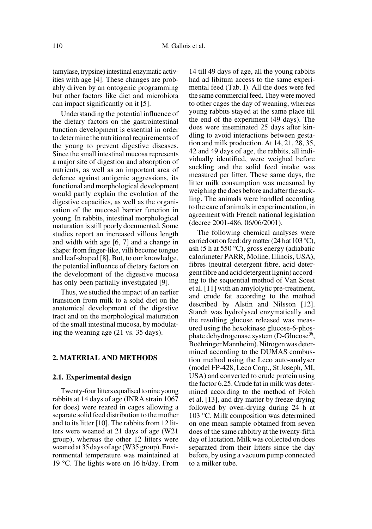(amylase, trypsine) intestinal enzymatic activities with age [4]. These changes are probably driven by an ontogenic programming but other factors like diet and microbiota can impact significantly on it [5].

Understanding the potential influence of the dietary factors on the gastrointestinal function development is essential in order to determine the nutritional requirements of the young to prevent digestive diseases. Since the small intestinal mucosa represents a major site of digestion and absorption of nutrients, as well as an important area of defence against antigenic aggressions, its functional and morphological development would partly explain the evolution of the digestive capacities, as well as the organisation of the mucosal barrier function in young. In rabbits, intestinal morphological maturation is still poorly documented. Some studies report an increased villous length and width with age [6, 7] and a change in shape: from finger-like, villi become tongue and leaf-shaped [8]. But, to our knowledge, the potential influence of dietary factors on the development of the digestive mucosa has only been partially investigated [9].

Thus, we studied the impact of an earlier transition from milk to a solid diet on the anatomical development of the digestive tract and on the morphological maturation of the small intestinal mucosa, by modulating the weaning age (21 vs. 35 days).

## **2. MATERIAL AND METHODS**

#### **2.1. Experimental design**

Twenty-four litters equalised to nine young rabbits at 14 days of age (INRA strain 1067 for does) were reared in cages allowing a separate solid feed distribution to the mother and to its litter [10]. The rabbits from 12 litters were weaned at 21 days of age (W21 group), whereas the other 12 litters were weaned at 35 days of age (W35 group). Environmental temperature was maintained at 19 °C. The lights were on 16 h/day. From

14 till 49 days of age, all the young rabbits had ad libitum access to the same experimental feed (Tab. I). All the does were fed the same commercial feed. They were moved to other cages the day of weaning, whereas young rabbits stayed at the same place till the end of the experiment (49 days). The does were inseminated 25 days after kindling to avoid interactions between gestation and milk production. At 14, 21, 28, 35, 42 and 49 days of age, the rabbits, all individually identified, were weighed before suckling and the solid feed intake was measured per litter. These same days, the litter milk consumption was measured by weighing the does before and after the suckling. The animals were handled according to the care of animals in experimentation, in agreement with French national legislation (decree 2001-486, 06/06/2001).

The following chemical analyses were carried out on feed: dry matter (24 h at 103 °C), ash (5 h at 550 °C), gross energy (adiabatic calorimeter PARR, Moline, Illinois, USA), fibres (neutral detergent fibre, acid detergent fibre and acid detergent lignin) according to the sequential method of Van Soest et al. [11] with an amylolytic pre-treatment, and crude fat according to the method described by Alstin and Nilsson [12]. Starch was hydrolysed enzymatically and the resulting glucose released was measured using the hexokinase glucose-6-phosphate dehydrogenase system (D-Glucose®, Boëhringer Mannheim). Nitrogen was determined according to the DUMAS combustion method using the Leco auto-analyser (model FP-428, Leco Corp., St Joseph, MI, USA) and converted to crude protein using the factor 6.25. Crude fat in milk was determined according to the method of Folch et al. [13], and dry matter by freeze-drying followed by oven-drying during 24 h at 103 °C. Milk composition was determined on one mean sample obtained from seven does of the same rabbitry at the twenty-fifth day of lactation. Milk was collected on does separated from their litters since the day before, by using a vacuum pump connected to a milker tube.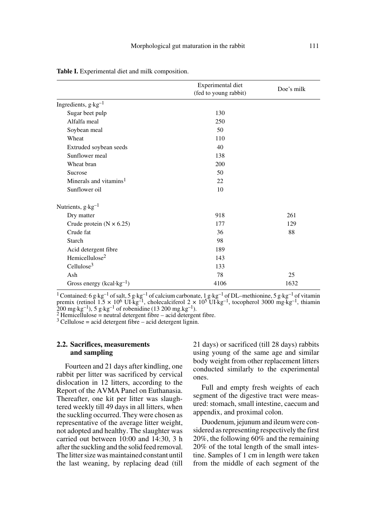|                                     | Experimental diet<br>(fed to young rabbit) | Doe's milk |
|-------------------------------------|--------------------------------------------|------------|
| Ingredients, $g \cdot kg^{-1}$      |                                            |            |
| Sugar beet pulp                     | 130                                        |            |
| Alfalfa meal                        | 250                                        |            |
| Soybean meal                        | 50                                         |            |
| Wheat                               | 110                                        |            |
| Extruded soybean seeds              | 40                                         |            |
| Sunflower meal                      | 138                                        |            |
| Wheat bran                          | 200                                        |            |
| Sucrose                             | 50                                         |            |
| Minerals and vitamins <sup>1</sup>  | 22                                         |            |
| Sunflower oil                       | 10                                         |            |
| Nutrients, $g \cdot kg^{-1}$        |                                            |            |
| Dry matter                          | 918                                        | 261        |
| Crude protein $(N \times 6.25)$     | 177                                        | 129        |
| Crude fat                           | 36                                         | 88         |
| Starch                              | 98                                         |            |
| Acid detergent fibre                | 189                                        |            |
| Hemicellulose <sup>2</sup>          | 143                                        |            |
| Cellulose $3$                       | 133                                        |            |
| Ash                                 | 78                                         | 25         |
| Gross energy $(kcal \cdot kg^{-1})$ | 4106                                       | 1632       |

**Table I.** Experimental diet and milk composition.

<sup>1</sup> Contained: 6 g·kg<sup>-1</sup> of salt, 5 g·kg<sup>-1</sup> of calcium carbonate, 1 g·kg<sup>-1</sup> of DL–methionine, 5 g·kg<sup>-1</sup> of vitamin premix (retinol 1.5 × 10<sup>6</sup> UI-kg<sup>-1</sup>, cholecalciferol 2 × 10<sup>5</sup> UI-kg<sup>-1</sup>, tocopherol 3000 mg·kg<sup>-1</sup>, thiamin  $200 \text{ mg} \cdot \text{kg}^{-1}$ ), 5 g $\cdot \text{kg}^{-1}$  of robenidine (13 200 mg.kg<sup>-1</sup>).

 $\frac{1}{2}$  Hemicellulose = neutral detergent fibre – acid detergent fibre.

 $3$  Cellulose = acid detergent fibre – acid detergent lignin.

## **2.2. Sacrifices, measurements and sampling**

Fourteen and 21 days after kindling, one rabbit per litter was sacrificed by cervical dislocation in 12 litters, according to the Report of the AVMA Panel on Euthanasia. Thereafter, one kit per litter was slaughtered weekly till 49 days in all litters, when the suckling occurred. They were chosen as representative of the average litter weight, not adopted and healthy. The slaughter was carried out between 10:00 and 14:30, 3 h after the suckling and the solid feed removal. The litter size was maintained constant until the last weaning, by replacing dead (till 21 days) or sacrificed (till 28 days) rabbits using young of the same age and similar body weight from other replacement litters conducted similarly to the experimental ones.

Full and empty fresh weights of each segment of the digestive tract were measured: stomach, small intestine, caecum and appendix, and proximal colon.

Duodenum, jejunum and ileum were considered as representing respectively the first 20%, the following 60% and the remaining 20% of the total length of the small intestine. Samples of 1 cm in length were taken from the middle of each segment of the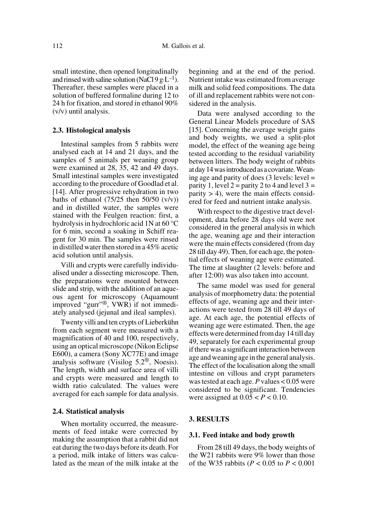small intestine, then opened longitudinally and rinsed with saline solution (NaCl  $9 g \cdot L^{-1}$ ). Thereafter, these samples were placed in a solution of buffered formaline during 12 to 24 h for fixation, and stored in ethanol 90% (v/v) until analysis.

### **2.3. Histological analysis**

Intestinal samples from 5 rabbits were analysed each at 14 and 21 days, and the samples of 5 animals per weaning group were examined at 28, 35, 42 and 49 days. Small intestinal samples were investigated according to the procedure of Goodlad et al. [14]. After progressive rehydration in two baths of ethanol  $(75/25$  then  $50/50$   $(v/v)$ ) and in distilled water, the samples were stained with the Feulgen reaction: first, a hydrolysis in hydrochloric acid 1N at 60 °C for 6 min, second a soaking in Schiff reagent for 30 min. The samples were rinsed in distilled water then stored in a 45% acetic acid solution until analysis.

Villi and crypts were carefully individualised under a dissecting microscope. Then, the preparations were mounted between slide and strip, with the addition of an aqueous agent for microscopy (Aquamount improved "gurr"®, VWR) if not immediately analysed (jejunal and ileal samples).

Twenty villi and ten crypts of Lieberkühn from each segment were measured with a magnification of 40 and 100, respectively, using an optical microscope (Nikon Eclipse E600), a camera (Sony XC77E) and image analysis software (Visilog 5.2®, Noesis). The length, width and surface area of villi and crypts were measured and length to width ratio calculated. The values were averaged for each sample for data analysis.

## **2.4. Statistical analysis**

When mortality occurred, the measurements of feed intake were corrected by making the assumption that a rabbit did not eat during the two days before its death. For a period, milk intake of litters was calculated as the mean of the milk intake at the

beginning and at the end of the period. Nutrient intake was estimated from average milk and solid feed compositions. The data of ill and replacement rabbits were not considered in the analysis.

Data were analysed according to the General Linear Models procedure of SAS [15]. Concerning the average weight gains and body weights, we used a split-plot model, the effect of the weaning age being tested according to the residual variability between litters. The body weight of rabbits at day 14 was introduced as a covariate. Weaning age and parity of does (3 levels: level = parity 1, level  $2 =$  parity 2 to 4 and level  $3 =$ parity  $> 4$ ), were the main effects considered for feed and nutrient intake analysis.

With respect to the digestive tract development, data before 28 days old were not considered in the general analysis in which the age, weaning age and their interaction were the main effects considered (from day 28 till day 49). Then, for each age, the potential effects of weaning age were estimated. The time at slaughter (2 levels: before and after 12:00) was also taken into account.

The same model was used for general analysis of morphometry data: the potential effects of age, weaning age and their interactions were tested from 28 till 49 days of age. At each age, the potential effects of weaning age were estimated. Then, the age effects were determined from day 14 till day 49, separately for each experimental group if there was a significant interaction between age and weaning age in the general analysis. The effect of the localisation along the small intestine on villous and crypt parameters was tested at each age. *P* values < 0.05 were considered to be significant. Tendencies were assigned at  $0.05 < P < 0.10$ .

## **3. RESULTS**

#### **3.1. Feed intake and body growth**

From 28 till 49 days, the body weights of the W21 rabbits were 9% lower than those of the W35 rabbits (*P* < 0.05 to *P* < 0.001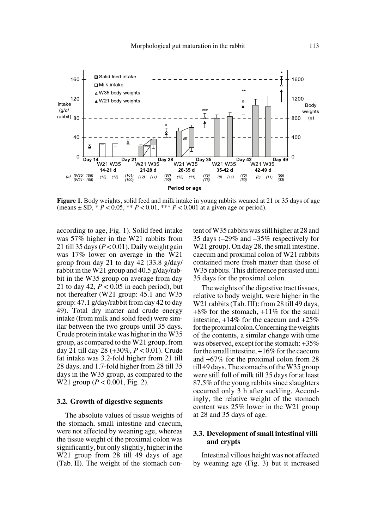

**Figure 1.** Body weights, solid feed and milk intake in young rabbits weaned at 21 or 35 days of age (means ± SD, \* *P* < 0.05, \*\* *P* < 0.01, \*\*\* *P* < 0.001 at a given age or period).

according to age, Fig. 1). Solid feed intake was 57% higher in the W21 rabbits from 21 till 35 days (*P* < 0.01). Daily weight gain was 17% lower on average in the W21 group from day 21 to day 42 (33.8 g/day/ rabbit in the W21 group and 40.5 g/day/rabbit in the W35 group on average from day 21 to day 42,  $P < 0.05$  in each period), but not thereafter (W21 group: 45.1 and W35 group: 47.1 g/day/rabbit from day 42 to day 49). Total dry matter and crude energy intake (from milk and solid feed) were similar between the two groups until 35 days. Crude protein intake was higher in the W35 group, as compared to the W21 group, from day 21 till day 28 (+30%, *P* < 0.01). Crude fat intake was 3.2-fold higher from 21 till 28 days, and 1.7-fold higher from 28 till 35 days in the W35 group, as compared to the W21 group (*P* < 0.001, Fig. 2).

#### **3.2. Growth of digestive segments**

The absolute values of tissue weights of the stomach, small intestine and caecum, were not affected by weaning age, whereas the tissue weight of the proximal colon was significantly, but only slightly, higher in the W21 group from 28 till 49 days of age (Tab. II). The weight of the stomach content of W35 rabbits was still higher at 28 and 35 days (–29% and –35% respectively for W21 group). On day 28, the small intestine, caecum and proximal colon of W21 rabbits contained more fresh matter than those of W35 rabbits. This difference persisted until 35 days for the proximal colon.

The weights of the digestive tract tissues, relative to body weight, were higher in the W21 rabbits (Tab. III): from 28 till 49 days, +8% for the stomach, +11% for the small intestine, +14% for the caecum and +25% for the proximal colon. Concerning the weights of the contents, a similar change with time was observed, except for the stomach: +35% for the small intestine, +16% for the caecum and +67% for the proximal colon from 28 till 49 days. The stomachs of the W35 group were still full of milk till 35 days for at least 87.5% of the young rabbits since slaughters occurred only 3 h after suckling. Accordingly, the relative weight of the stomach content was 25% lower in the W21 group at 28 and 35 days of age.

## **3.3. Development of small intestinal villi and crypts**

Intestinal villous height was not affected by weaning age (Fig. 3) but it increased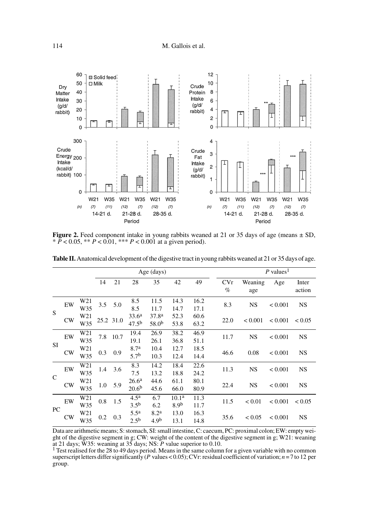

**Figure 2.** Feed component intake in young rabbits weaned at 21 or 35 days of age (means  $\pm$  SD,  $* P < 0.05$ ,  $* * P < 0.01$ ,  $* * P < 0.001$  at a given period).

|           |           |                        | Age (days) |           |                                        |                                        |                                       |              | $P$ values <sup>1</sup> |                |         |                 |  |
|-----------|-----------|------------------------|------------|-----------|----------------------------------------|----------------------------------------|---------------------------------------|--------------|-------------------------|----------------|---------|-----------------|--|
|           |           |                        | 14         | 21        | 28                                     | 35                                     | 42                                    | 49           | CVr<br>$\%$             | Weaning<br>age | Age     | Inter<br>action |  |
| S         | EW        | W21<br>W35             | 3.5        | 5.0       | 8.5<br>8.5                             | 11.5<br>11.7                           | 14.3<br>14.7                          | 16.2<br>17.1 | 8.3                     | <b>NS</b>      | < 0.001 | <b>NS</b>       |  |
|           | <b>CW</b> | W21<br>W35             |            | 25.2 31.0 | 33.6 <sup>a</sup><br>47.5 <sup>b</sup> | 37.8 <sup>a</sup><br>58.0 <sup>b</sup> | 52.3<br>53.8                          | 60.6<br>63.2 | 22.0                    | < 0.001        | < 0.001 | ${}_{< 0.05}$   |  |
| <b>SI</b> | EW        | W21<br>W35             | 7.8        | 10.7      | 19.4<br>19.1                           | 26.9<br>26.1                           | 38.2<br>36.8                          | 46.9<br>51.1 | 11.7                    | <b>NS</b>      | < 0.001 | <b>NS</b>       |  |
|           | CW        | W <sub>21</sub><br>W35 | 0.3        | 0.9       | 8.7 <sup>a</sup><br>5.7 <sup>b</sup>   | 10.4<br>10.3                           | 12.7<br>12.4                          | 18.5<br>14.4 | 46.6                    | 0.08           | < 0.001 | <b>NS</b>       |  |
| C         | EW        | W21<br>W35             | 1.4        | 3.6       | 8.3<br>7.5                             | 14.2<br>13.2                           | 18.4<br>18.8                          | 22.6<br>24.2 | 11.3                    | <b>NS</b>      | < 0.001 | <b>NS</b>       |  |
|           | <b>CW</b> | W21<br>W35             | 1.0        | 5.9       | 26.6 <sup>a</sup><br>20.6 <sup>b</sup> | 44.6<br>45.6                           | 61.1<br>66.0                          | 80.1<br>80.9 | 22.4                    | <b>NS</b>      | < 0.001 | <b>NS</b>       |  |
| PC.       | EW        | W21<br>W35             | 0.8        | 1.5       | 4.5 <sup>a</sup><br>$3.5^{b}$          | 6.7<br>6.2                             | 10.1 <sup>a</sup><br>8.9 <sup>b</sup> | 11.3<br>11.7 | 11.5                    | < 0.01         | < 0.001 | ${}_{0.05}$     |  |
|           | CW        | W <sub>21</sub><br>W35 | 0.2        | 0.3       | 5.5 <sup>a</sup><br>$2.5^{b}$          | 8.2 <sup>a</sup><br>4.9 <sup>b</sup>   | 13.0<br>13.1                          | 16.3<br>14.8 | 35.6                    | < 0.05         | < 0.001 | <b>NS</b>       |  |

**Table II.** Anatomical development of the digestive tract in young rabbits weaned at 21 or 35 days of age.

Data are arithmetic means; S: stomach, SI: small intestine, C: caecum, PC: proximal colon; EW: empty weight of the digestive segment in g; CW: weight of the content of the digestive segment in g; W21: weaning at 21 days; W35: weaning at  $35$  days; NS: *P* value superior to 0.10. <sup>1</sup> Test realised for the 28 to 49 days period. Means in the same column for a given variable with no common

superscript letters differ significantly (*P* values < 0.05); CVr: residual coefficient of variation; *n* = 7 to 12 per group.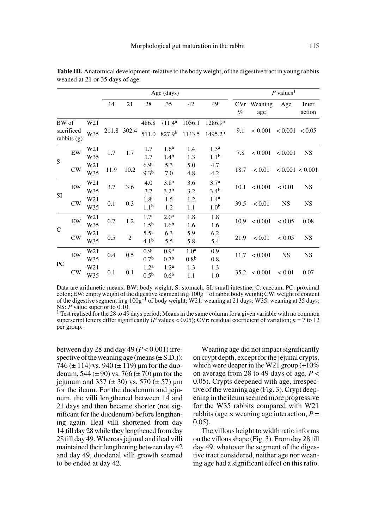|           |                             |                        | Age (days) |                |                                      |                                          |                                      |                                      | $P$ values <sup>1</sup> |                    |                |                 |  |
|-----------|-----------------------------|------------------------|------------|----------------|--------------------------------------|------------------------------------------|--------------------------------------|--------------------------------------|-------------------------|--------------------|----------------|-----------------|--|
|           |                             |                        | 14         | 21             | 28                                   | 35                                       | 42                                   | 49                                   | $\%$                    | CVr Weaning<br>age | Age            | Inter<br>action |  |
| BW of     | sacrificed<br>rabbits $(g)$ | W21<br>W35             |            | 211.8 302.4    | 486.8<br>511.0                       | 711.4 <sup>a</sup><br>827.9 <sup>b</sup> | 1056.1<br>1143.5                     | 1286.9a<br>1495.2 <sup>b</sup>       | 9.1                     | < 0.001            | < 0.001 < 0.05 |                 |  |
| S         | EW                          | W <sub>21</sub><br>W35 | 1.7        | 1.7            | 1.7<br>1.7                           | 1.6 <sup>a</sup><br>1.4 <sup>b</sup>     | 1.4<br>1.3                           | 1.3 <sup>a</sup><br>1.1 <sup>b</sup> | 7.8                     | < 0.001            | < 0.001        | <b>NS</b>       |  |
|           | CW                          | W21<br>W35             | 11.9       | 10.2           | 6.9 <sup>a</sup><br>9.3 <sup>b</sup> | 5.3<br>7.0                               | 5.0<br>4.8                           | 4.7<br>4.2                           | 18.7                    | < 0.01             |                | < 0.001 < 0.001 |  |
| <b>SI</b> | EW                          | W21<br>W35             | 3.7        | 3.6            | 4.0<br>3.7                           | 3.8 <sup>a</sup><br>3.2 <sup>b</sup>     | 3.6<br>3.2                           | 3.7 <sup>a</sup><br>$3.4^{b}$        | 10.1                    | < 0.001            | < 0.01         | <b>NS</b>       |  |
|           | CW                          | W <sub>21</sub><br>W35 | 0.1        | 0.3            | 1.8 <sup>a</sup><br>1.1 <sup>b</sup> | 1.5<br>1.2                               | 1.2<br>1.1                           | 1.4 <sup>a</sup><br>1.0 <sup>b</sup> | 39.5                    | < 0.01             | NS             | <b>NS</b>       |  |
| C         | EW                          | W21<br>W35             | 0.7        | 1.2            | 1.7 <sup>a</sup><br>1.5 <sup>b</sup> | 2.0 <sup>a</sup><br>1.6 <sup>b</sup>     | 1.8<br>1.6                           | 1.8<br>1.6                           | 10.9                    | < 0.001            | < 0.05         | 0.08            |  |
|           | CW                          | W <sub>21</sub><br>W35 | 0.5        | $\overline{2}$ | 5.5 <sup>a</sup><br>$4.1^{b}$        | 6.3<br>5.5                               | 5.9<br>5.8                           | 6.2<br>5.4                           | 21.9                    | < 0.01             | < 0.05         | <b>NS</b>       |  |
| PC.       | EW                          | W <sub>21</sub><br>W35 | 0.4        | 0.5            | 0.9 <sup>a</sup><br>0.7 <sup>b</sup> | 0.9 <sup>a</sup><br>0.7 <sup>b</sup>     | 1.0 <sup>a</sup><br>0.8 <sup>b</sup> | 0.9<br>0.8                           | 11.7                    | < 0.001            | <b>NS</b>      | <b>NS</b>       |  |
|           | <b>CW</b>                   | W21<br>W35             | 0.1        | 0.1            | 1.2 <sup>a</sup><br>0.5 <sup>b</sup> | 1.2 <sup>a</sup><br>0.6 <sup>b</sup>     | 1.3<br>1.1                           | 1.3<br>1.0                           | 35.2                    | < 0.001            | < 0.01         | 0.07            |  |

**Table III.** Anatomical development, relative to the body weight, of the digestive tract in young rabbits weaned at 21 or 35 days of age.

Data are arithmetic means; BW: body weight; S: stomach, SI: small intestine, C: caecum, PC: proximal colon; EW: empty weight of the digestive segment in  $g \cdot 100g^{-1}$  of rabbit body weight; CW: weight of content of the digestive segment in g·100g<sup>-1</sup> of body weight; W21: weaning at 21 days; W35: weaning at 35 days; NS: P value superior to 0.10.

<sup>1</sup> Test realised for the 28 to 49 days period; Means in the same column for a given variable with no common superscript letters differ significantly (*P* values < 0.05); CVr: residual coefficient of variation; *n* = 7 to 12 per group.

between day 28 and day 49 (*P* < 0.001) irrespective of the weaning age (means  $(\pm S.D.$ )): 746 ( $\pm$  114) vs. 940 ( $\pm$  119) µm for the duodenum, 544 ( $\pm$  90) vs. 766 ( $\pm$  70) µm for the jejunum and 357 ( $\pm$  30) vs. 570 ( $\pm$  57) µm for the ileum. For the duodenum and jejunum, the villi lengthened between 14 and 21 days and then became shorter (not significant for the duodenum) before lengthening again. Ileal villi shortened from day 14 till day 28 while they lengthened from day 28 till day 49. Whereas jejunal and ileal villi maintained their lengthening between day 42 and day 49, duodenal villi growth seemed to be ended at day 42.

Weaning age did not impact significantly on crypt depth, except for the jejunal crypts, which were deeper in the W21 group (+10% on average from 28 to 49 days of age, *P* < 0.05). Crypts deepened with age, irrespective of the weaning age (Fig. 3). Crypt deepening in the ileum seemed more progressive for the W35 rabbits compared with W21 rabbits (age  $\times$  weaning age interaction,  $P =$ 0.05).

The villous height to width ratio informs on the villous shape (Fig. 3). From day 28 till day 49, whatever the segment of the digestive tract considered, neither age nor weaning age had a significant effect on this ratio.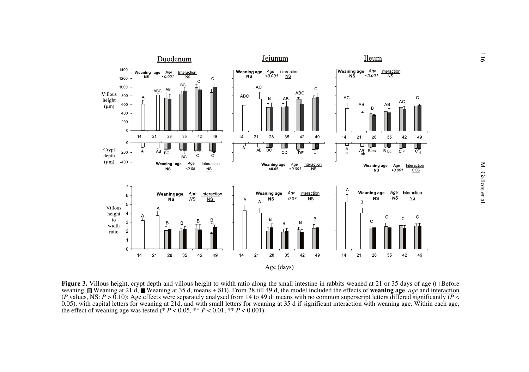

**Figure 3.** Villous height, crypt depth and villous height to width ratio along the small intestine in rabbits weaned at 21 or 35 days of age  $\Box$  Before weaning, Weaning at 21 d, Weaning at 35 d, means ± SD). From 28 till 49 d, the model included the effects of **weaning age**, *age* and interaction (*P* values, NS:  $P > 0.10$ ); Age effects were separately analysed from 14 to 49 d: means with no common superscript letters differed significantly ( $P <$ 0.05), with capital letters for weaning at 21d, and with small letters for weaning at 35 d if significant interaction with weaning age. Within each age, the effect of weaning age was tested  $(* P < 0.05, ** P < 0.01, ** P < 0.001).$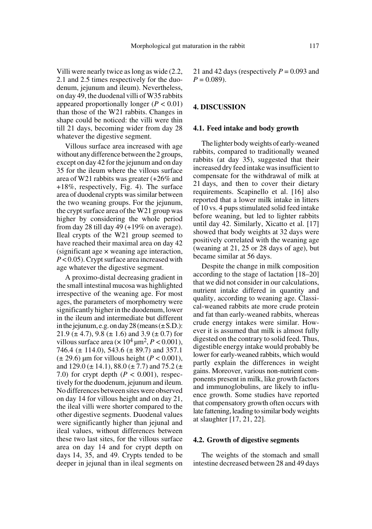Villi were nearly twice as long as wide (2.2, 2.1 and 2.5 times respectively for the duodenum, jejunum and ileum). Nevertheless, on day 49, the duodenal villi of W35 rabbits appeared proportionally longer  $(P < 0.01)$ than those of the W21 rabbits. Changes in shape could be noticed: the villi were thin till 21 days, becoming wider from day 28 whatever the digestive segment.

Villous surface area increased with age without any difference between the 2 groups, except on day 42 for the jejunum and on day 35 for the ileum where the villous surface area of W21 rabbits was greater (+26% and +18%, respectively, Fig. 4). The surface area of duodenal crypts was similar between the two weaning groups. For the jejunum, the crypt surface area of the W21 group was higher by considering the whole period from day 28 till day 49 (+19% on average). Ileal crypts of the W21 group seemed to have reached their maximal area on day 42 (significant age × weaning age interaction, *P* < 0.05). Crypt surface area increased with age whatever the digestive segment.

A proximo-distal decreasing gradient in the small intestinal mucosa was highlighted irrespective of the weaning age. For most ages, the parameters of morphometry were significantly higher in the duodenum, lower in the ileum and intermediate but different in the jejunum, e.g. on day  $28$  (means  $(\pm S.D.)$ : 21.9 ( $\pm$  4.7), 9.8 ( $\pm$  1.6) and 3.9 ( $\pm$  0.7) for villous surface area  $(\times 10^4 \,\mathrm{\upmu m^2}, P < 0.001)$ , 746.4 (± 114.0), 543.6 (± 89.7) and 357.1  $(\pm 29.6)$  µm for villous height ( $P < 0.001$ ), and 129.0 ( $\pm$  14.1), 88.0 ( $\pm$  7.7) and 75.2 ( $\pm$ 7.0) for crypt depth  $(P < 0.001)$ , respectively for the duodenum, jejunum and ileum. No differences between sites were observed on day 14 for villous height and on day 21, the ileal villi were shorter compared to the other digestive segments. Duodenal values were significantly higher than jejunal and ileal values, without differences between these two last sites, for the villous surface area on day 14 and for crypt depth on days 14, 35, and 49. Crypts tended to be deeper in jejunal than in ileal segments on

21 and 42 days (respectively  $P = 0.093$  and  $P = 0.089$ .

#### **4. DISCUSSION**

#### **4.1. Feed intake and body growth**

The lighter body weights of early-weaned rabbits, compared to traditionally weaned rabbits (at day 35), suggested that their increased dry feed intake was insufficient to compensate for the withdrawal of milk at 21 days, and then to cover their dietary requirements. Scapinello et al. [16] also reported that a lower milk intake in litters of 10 vs. 4 pups stimulated solid feed intake before weaning, but led to lighter rabbits until day 42. Similarly, Xicatto et al. [17] showed that body weights at 32 days were positively correlated with the weaning age (weaning at 21, 25 or 28 days of age), but became similar at 56 days.

Despite the change in milk composition according to the stage of lactation [18–20] that we did not consider in our calculations, nutrient intake differed in quantity and quality, according to weaning age. Classical-weaned rabbits ate more crude protein and fat than early-weaned rabbits, whereas crude energy intakes were similar. However it is assumed that milk is almost fully digested on the contrary to solid feed. Thus, digestible energy intake would probably be lower for early-weaned rabbits, which would partly explain the differences in weight gains. Moreover, various non-nutrient components present in milk, like growth factors and immunoglobulins, are likely to influence growth. Some studies have reported that compensatory growth often occurs with late fattening, leading to similar body weights at slaughter [17, 21, 22].

#### **4.2. Growth of digestive segments**

The weights of the stomach and small intestine decreased between 28 and 49 days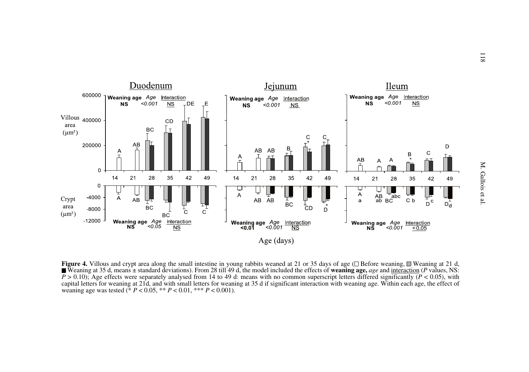

**Figure 4.** Villous and crypt area along the small intestine in young rabbits weaned at 21 or 35 days of age ( $\Box$  Before weaning,  $\Box$  Weaning at 21 d, ■ Weaning at 35 d, means ± standard deviations). From 28 till 49 d, the model included the effects of **weaning age,** *age* and interaction (*P* values, NS: *P* > 0.10); Age effects were separately analysed from 14 to 49 d: means with no common superscript letters differed significantly (*P* < 0.05), with capital letters for weaning at 21d, and with small letters for weaning at 35 d if significant interaction with weaning age. Within each age, the effect of weaning age was tested (\* *P* < 0.05, \*\* *P* < 0.01, \*\*\* *P* < 0.001).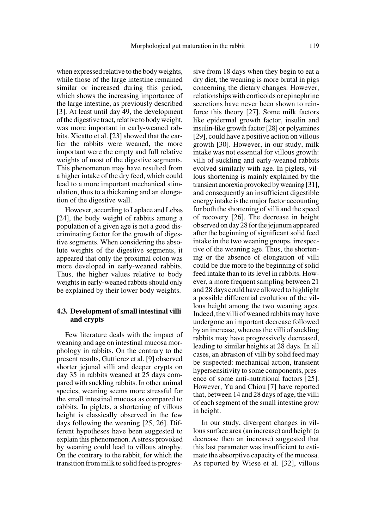when expressed relative to the body weights, while those of the large intestine remained similar or increased during this period, which shows the increasing importance of the large intestine, as previously described [3]. At least until day 49, the development of the digestive tract, relative to body weight, was more important in early-weaned rabbits. Xicatto et al. [23] showed that the earlier the rabbits were weaned, the more important were the empty and full relative weights of most of the digestive segments. This phenomenon may have resulted from a higher intake of the dry feed, which could lead to a more important mechanical stimulation, thus to a thickening and an elongation of the digestive wall.

However, according to Laplace and Lebas [24], the body weight of rabbits among a population of a given age is not a good discriminating factor for the growth of digestive segments. When considering the absolute weights of the digestive segments, it appeared that only the proximal colon was more developed in early-weaned rabbits. Thus, the higher values relative to body weights in early-weaned rabbits should only be explained by their lower body weights.

#### **4.3. Development of small intestinal villi and crypts**

Few literature deals with the impact of weaning and age on intestinal mucosa morphology in rabbits. On the contrary to the present results, Guttierez et al. [9] observed shorter jejunal villi and deeper crypts on day 35 in rabbits weaned at 25 days compared with suckling rabbits. In other animal species, weaning seems more stressful for the small intestinal mucosa as compared to rabbits. In piglets, a shortening of villous height is classically observed in the few days following the weaning [25, 26]. Different hypotheses have been suggested to explain this phenomenon. A stress provoked by weaning could lead to villous atrophy. On the contrary to the rabbit, for which the transition from milk to solid feed is progressive from 18 days when they begin to eat a dry diet, the weaning is more brutal in pigs concerning the dietary changes. However, relationships with corticoids or epinephrine secretions have never been shown to reinforce this theory [27]. Some milk factors like epidermal growth factor, insulin and insulin-like growth factor [28] or polyamines [29], could have a positive action on villous growth [30]. However, in our study, milk intake was not essential for villous growth: villi of suckling and early-weaned rabbits evolved similarly with age. In piglets, villous shortening is mainly explained by the transient anorexia provoked by weaning [31], and consequently an insufficient digestible energy intake is the major factor accounting for both the shortening of villi and the speed of recovery [26]. The decrease in height observed on day 28 for the jejunum appeared after the beginning of significant solid feed intake in the two weaning groups, irrespective of the weaning age. Thus, the shortening or the absence of elongation of villi could be due more to the beginning of solid feed intake than to its level in rabbits. However, a more frequent sampling between 21 and 28 days could have allowed to highlight a possible differential evolution of the villous height among the two weaning ages. Indeed, the villi of weaned rabbits may have undergone an important decrease followed by an increase, whereas the villi of suckling rabbits may have progressively decreased, leading to similar heights at 28 days. In all cases, an abrasion of villi by solid feed may be suspected: mechanical action, transient hypersensitivity to some components, presence of some anti-nutritional factors [25]. However, Yu and Chiou [7] have reported that, between 14 and 28 days of age, the villi of each segment of the small intestine grow in height.

In our study, divergent changes in villous surface area (an increase) and height (a decrease then an increase) suggested that this last parameter was insufficient to estimate the absorptive capacity of the mucosa. As reported by Wiese et al. [32], villous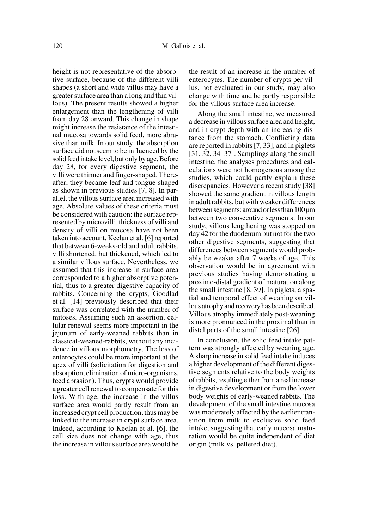height is not representative of the absorptive surface, because of the different villi shapes (a short and wide villus may have a greater surface area than a long and thin villous). The present results showed a higher enlargement than the lengthening of villi from day 28 onward. This change in shape might increase the resistance of the intestinal mucosa towards solid feed, more abrasive than milk. In our study, the absorption surface did not seem to be influenced by the solid feed intake level, but only by age. Before day 28, for every digestive segment, the villi were thinner and finger-shaped. Thereafter, they became leaf and tongue-shaped as shown in previous studies [7, 8]. In parallel, the villous surface area increased with age. Absolute values of these criteria must be considered with caution: the surface represented by microvilli, thickness of villi and density of villi on mucosa have not been taken into account. Keelan et al. [6] reported that between 6-weeks-old and adult rabbits, villi shortened, but thickened, which led to a similar villous surface. Nevertheless, we assumed that this increase in surface area corresponded to a higher absorptive potential, thus to a greater digestive capacity of rabbits. Concerning the crypts, Goodlad et al. [14] previously described that their surface was correlated with the number of mitoses. Assuming such an assertion, cellular renewal seems more important in the jejunum of early-weaned rabbits than in classical-weaned-rabbits, without any incidence in villous morphometry. The loss of enterocytes could be more important at the apex of villi (solicitation for digestion and absorption, elimination of micro-organisms, feed abrasion). Thus, crypts would provide a greater cell renewal to compensate for this loss. With age, the increase in the villus surface area would partly result from an increased crypt cell production, thus may be linked to the increase in crypt surface area. Indeed, according to Keelan et al. [6], the cell size does not change with age, thus the increase in villous surface area would be the result of an increase in the number of enterocytes. The number of crypts per villus, not evaluated in our study, may also change with time and be partly responsible for the villous surface area increase.

Along the small intestine, we measured a decrease in villous surface area and height, and in crypt depth with an increasing distance from the stomach. Conflicting data are reported in rabbits [7, 33], and in piglets [31, 32, 34–37]. Samplings along the small intestine, the analyses procedures and calculations were not homogenous among the studies, which could partly explain these discrepancies. However a recent study [38] showed the same gradient in villous length in adult rabbits, but with weaker differences between segments: around or less than 100 µm between two consecutive segments. In our study, villous lengthening was stopped on day 42 for the duodenum but not for the two other digestive segments, suggesting that differences between segments would probably be weaker after 7 weeks of age. This observation would be in agreement with previous studies having demonstrating a proximo-distal gradient of maturation along the small intestine [8, 39]. In piglets, a spatial and temporal effect of weaning on villous atrophy and recovery has been described. Villous atrophy immediately post-weaning is more pronounced in the proximal than in distal parts of the small intestine [26].

In conclusion, the solid feed intake pattern was strongly affected by weaning age. A sharp increase in solid feed intake induces a higher development of the different digestive segments relative to the body weights of rabbits, resulting either from a real increase in digestive development or from the lower body weights of early-weaned rabbits. The development of the small intestine mucosa was moderately affected by the earlier transition from milk to exclusive solid feed intake, suggesting that early mucosa maturation would be quite independent of diet origin (milk vs. pelleted diet).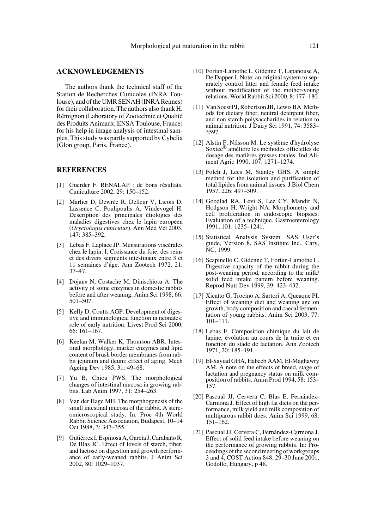#### **ACKNOWLEDGEMENTS**

The authors thank the technical staff of the Station de Recherches Cunicoles (INRA Toulouse), and of the UMR SENAH (INRA Rennes) for their collaboration. The authors also thank H. Rémignon (Laboratory of Zootechnie et Qualité des Produits Animaux, ENSA Toulouse, France) for his help in image analysis of intestinal samples. This study was partly supported by Cybelia (Glon group, Paris, France).

## **REFERENCES**

- [1] Guerder F. RENALAP : de bons résultats. Cuniculture 2002, 29: 150–152.
- [2] Marlier D, Dewrée R, Delleur V, Licois D, Lassence C, Poulipoulis A, Vindevogel H. Description des principales étiologies des maladies digestives chez le lapin européen (*Oryctolagus cuniculus*). Ann Méd Vét 2003, 147: 385–392.
- [3] Lebas F, Laplace JP. Mensurations viscérales chez le lapin. I. Croissance du foie, des reins et des divers segments intestinaux entre 3 et 11 semaines d'âge. Ann Zootech 1972, 21: 37–47.
- [4] Dojana N, Costache M, Dinischiotu A. The activity of some enzymes in domestic rabbits before and after weaning. Anim Sci 1998, 66: 501–507.
- [5] Kelly D, Coutts AGP. Development of digestive and immunological function in neonates: role of early nutrition. Livest Prod Sci 2000, 66: 161–167.
- [6] Keelan M, Walker K, Thomson ABR. Intestinal morphology, marker enzymes and lipid content of brush border membranes from rabbit jejunum and ileum: effect of aging. Mech Ageing Dev 1985, 31: 49–68.
- [7] Yu B, Chiou PWS. The morphological changes of intestinal mucosa in growing rabbits. Lab Anim 1997, 31: 254–263.
- [8] Van der Hage MH. The morphogenesis of the small intestinal mucosa of the rabbit. A stereomicroscopical study. In: Proc 4th World Rabbit Science Association, Budapest, 10–14 Oct 1988, 3: 347–355.
- [9] Gutiérrez I, Espinosa A, García J, Carabaño R, De Blas JC. Effect of levels of starch, fiber, and lactose on digestion and growth performance of early-weaned rabbits. J Anim Sci 2002, 80: 1029–1037.
- [10] Fortun-Lamothe L, Gidenne T, Lapanouse A, De Dapper J. Note: an original system to separately control litter and female feed intake without modification of the mother-young relations. World Rabbit Sci 2000, 8: 177–180.
- [11] Van Soest PJ, Robertson JB, Lewis BA. Methods for dietary fiber, neutral detergent fiber, and non starch polysaccharides in relation to animal nutrition. J Dairy Sci 1991, 74: 3583– 3597.
- [12] Alstin F, Nilsson M. Le système d'hydrolyse Soxtec® améliore les méthodes officielles de dosage des matières grasses totales. Ind Aliment Agric 1990, 107: 1271–1274.
- [13] Folch J, Lees M, Stanley GHS. A simple method for the isolation and purification of total lipides from animal tissues. J Biol Chem 1957, 226: 497–509.
- [14] Goodlad RA, Levi S, Lee CY, Mandir N, Hodgson H, Wright NA. Morphometry and cell proliferation in endoscopic biopsies: Evaluation of a technique. Gastroenterology 1991, 101: 1235–1241.
- [15] Statistical Analysis System. SAS User's guide, Version 8, SAS Institute Inc., Cary, NC, 1999.
- [16] Scapinello C, Gidenne T, Fortun-Lamothe L. Digestive capacity of the rabbit during the post-weaning period, according to the milk/ solid feed intake pattern before weaning. Reprod Nutr Dev 1999, 39: 423–432.
- [17] Xicatto G, Trocino A, Sartori A, Queaque PI. Effect of weaning diet and weaning age on growth, body composition and caecal fermentation of young rabbits. Anim Sci 2003, 77: 101–111.
- [18] Lebas F. Composition chimique du lait de lapine, évolution au cours de la traite et en fonction du stade de lactation. Ann Zootech 1971, 20: 185–191.
- [19] El-Sayiad GHA, Habeeb AAM, El-Maghawry AM. A note on the effects of breed, stage of lactation and pregnancy status on milk composition of rabbits. Anim Prod 1994, 58: 153– 157.
- [20] Pascual JJ, Cervera C, Blas E, Fernández-Carmona J. Effect of high fat diets on the performance, milk yield and milk composition of multiparous rabbit does. Anim Sci 1999, 68:  $151 - 162$ .
- [21] Pascual JJ, Cervera C, Fernández-Carmona J. Effect of solid feed intake before weaning on the performance of growing rabbits. In: Proceedings of the second meeting of workgroups 3 and 4, COST Action 848, 29–30 June 2001, Godollo, Hungary, p 48.